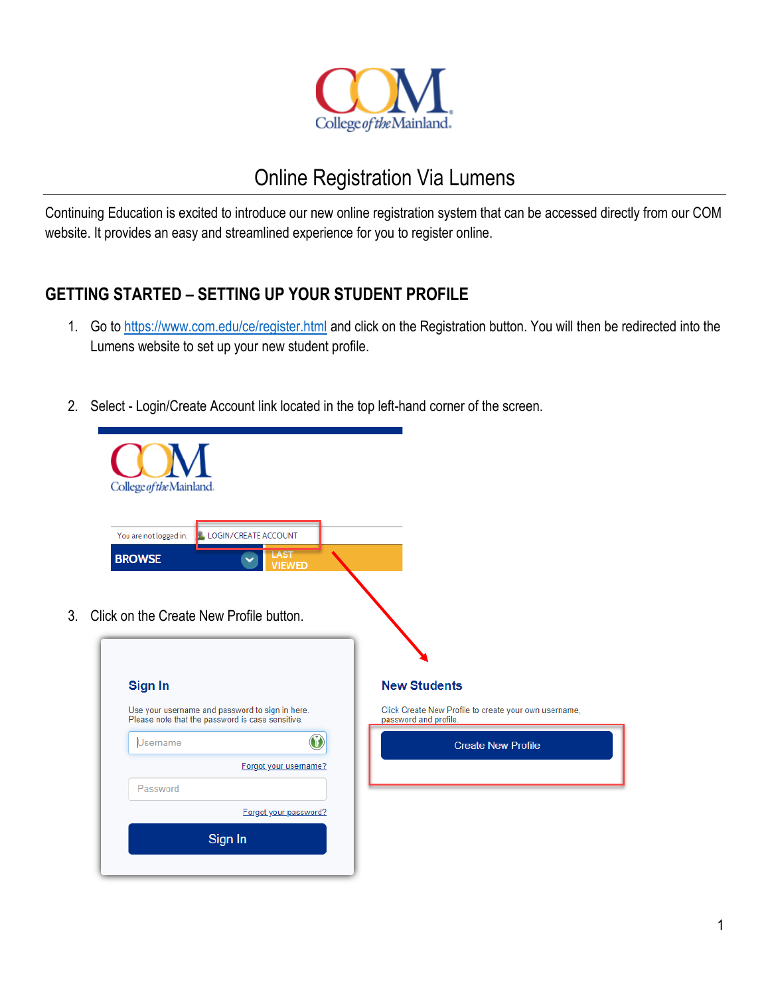

# Online Registration Via Lumens

Continuing Education is excited to introduce our new online registration system that can be accessed directly from our COM website. It provides an easy and streamlined experience for you to register online.

### **GETTING STARTED – SETTING UP YOUR STUDENT PROFILE**

- 1. Go to<https://www.com.edu/ce/register.html> and click on the Registration button. You will then be redirected into the Lumens website to set up your new student profile.
- 2. Select Login/Create Account link located in the top left-hand corner of the screen.

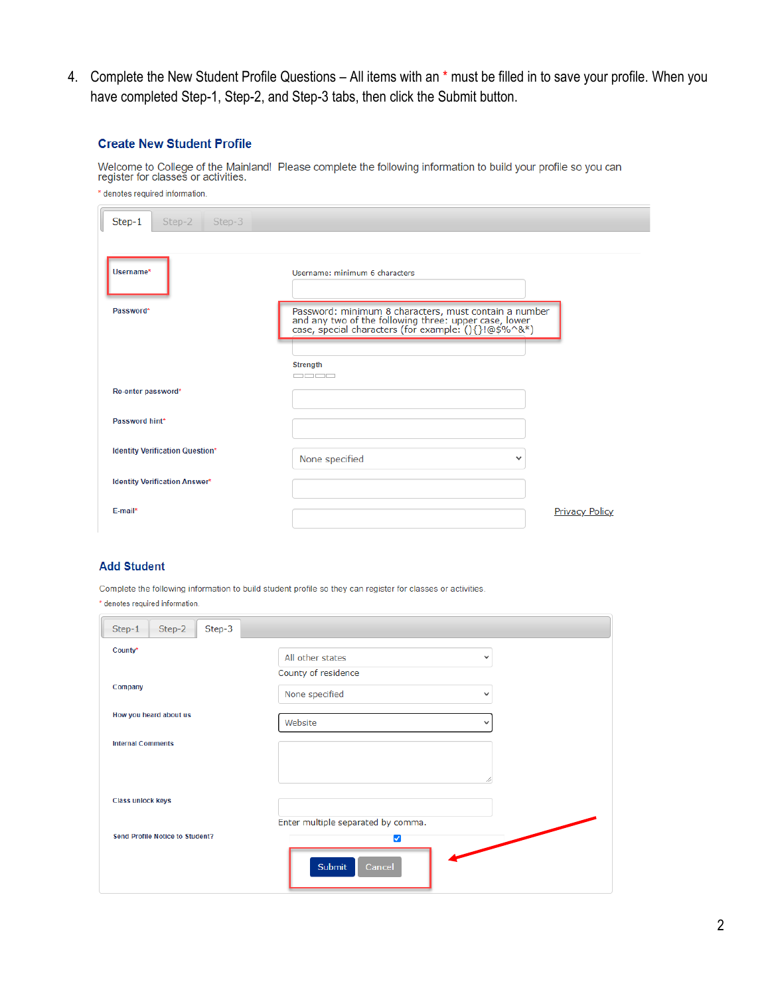4. Complete the New Student Profile Questions – All items with an \* must be filled in to save your profile. When you have completed Step-1, Step-2, and Step-3 tabs, then click the Submit button.

#### **Create New Student Profile**

Welcome to College of the Mainland! Please complete the following information to build your profile so you can<br>register for classes or activities.

| * denotes required information.        |                                                                                                                                                                        |  |
|----------------------------------------|------------------------------------------------------------------------------------------------------------------------------------------------------------------------|--|
| Step-1<br>Step-3<br>Step-2             |                                                                                                                                                                        |  |
| Username*                              | Username: minimum 6 characters                                                                                                                                         |  |
| Password*                              | Password: minimum 8 characters, must contain a number<br>and any two of the following three: upper case, lower<br>case, special characters (for example: (){}!@\$%^&*) |  |
|                                        |                                                                                                                                                                        |  |
|                                        | <b>Strength</b><br>mmmm                                                                                                                                                |  |
| Re-enter password*                     |                                                                                                                                                                        |  |
| Password hint*                         |                                                                                                                                                                        |  |
| <b>Identity Verification Question*</b> | None specified<br>$\checkmark$                                                                                                                                         |  |
| <b>Identity Verification Answer*</b>   |                                                                                                                                                                        |  |
| E-mail*                                | <b>Privacy Policy</b>                                                                                                                                                  |  |

#### **Add Student**

Complete the following information to build student profile so they can register for classes or activities. \* denotes required information.

| Step-3<br>Step-1<br>Step-2             |                                  |  |
|----------------------------------------|----------------------------------|--|
| County*                                | All other states<br>$\checkmark$ |  |
|                                        | County of residence              |  |
| Company                                | None specified<br>$\checkmark$   |  |
| How you heard about us                 | Website<br>$\checkmark$          |  |
| <b>Internal Comments</b>               |                                  |  |
|                                        |                                  |  |
|                                        |                                  |  |
| Class unlock keys                      |                                  |  |
| Enter multiple separated by comma.     |                                  |  |
| <b>Send Profile Notice to Student?</b> | ◡                                |  |
|                                        | Submit<br>Cancel                 |  |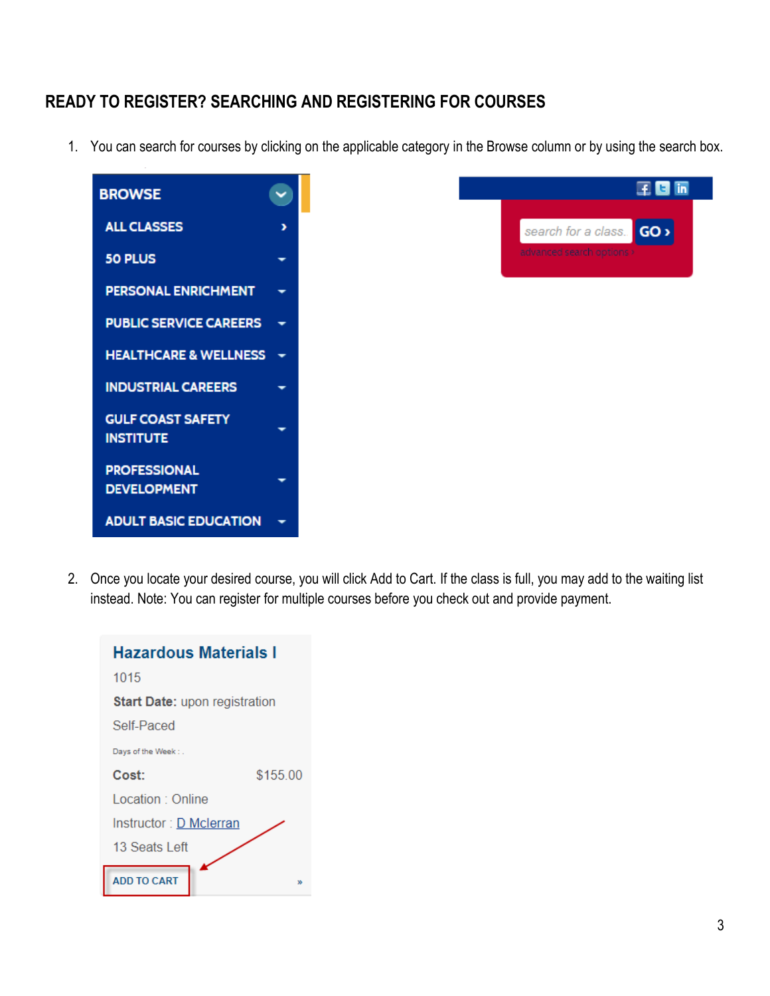## **READY TO REGISTER? SEARCHING AND REGISTERING FOR COURSES**

1. You can search for courses by clicking on the applicable category in the Browse column or by using the search box.





2. Once you locate your desired course, you will click Add to Cart. If the class is full, you may add to the waiting list instead. Note: You can register for multiple courses before you check out and provide payment.

| <b>Hazardous Materials I</b>         |          |  |
|--------------------------------------|----------|--|
| 1015                                 |          |  |
| <b>Start Date: upon registration</b> |          |  |
| Self-Paced                           |          |  |
| Days of the Week:                    |          |  |
| Cost:                                | \$155.00 |  |
| Location : Online                    |          |  |
| Instructor: D Mclerran               |          |  |
| 13 Seats Left                        |          |  |
| <b>ADD TO CART</b>                   | w        |  |